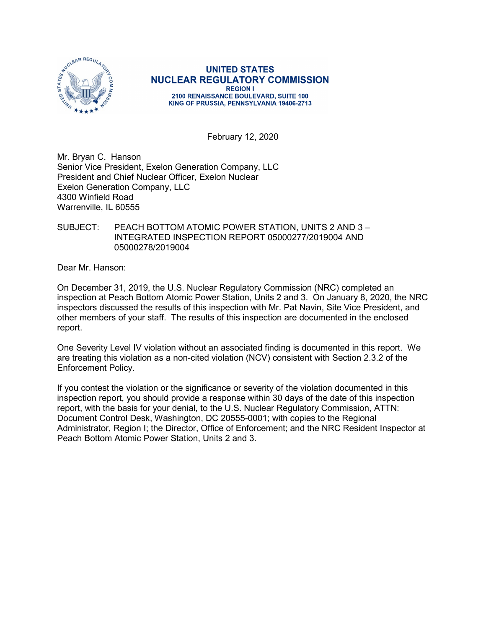

**UNITED STATES NUCLEAR REGULATORY COMMISSION REGION I** 2100 RENAISSANCE BOULEVARD, SUITE 100 KING OF PRUSSIA, PENNSYLVANIA 19406-2713

February 12, 2020

Mr. Bryan C. Hanson Senior Vice President, Exelon Generation Company, LLC President and Chief Nuclear Officer, Exelon Nuclear Exelon Generation Company, LLC 4300 Winfield Road Warrenville, IL 60555

### SUBJECT: PEACH BOTTOM ATOMIC POWER STATION, UNITS 2 AND 3 – INTEGRATED INSPECTION REPORT 05000277/2019004 AND 05000278/2019004

Dear Mr. Hanson:

On December 31, 2019, the U.S. Nuclear Regulatory Commission (NRC) completed an inspection at Peach Bottom Atomic Power Station, Units 2 and 3. On January 8, 2020, the NRC inspectors discussed the results of this inspection with Mr. Pat Navin, Site Vice President, and other members of your staff. The results of this inspection are documented in the enclosed report.

One Severity Level IV violation without an associated finding is documented in this report. We are treating this violation as a non-cited violation (NCV) consistent with Section 2.3.2 of the Enforcement Policy.

If you contest the violation or the significance or severity of the violation documented in this inspection report, you should provide a response within 30 days of the date of this inspection report, with the basis for your denial, to the U.S. Nuclear Regulatory Commission, ATTN: Document Control Desk, Washington, DC 20555-0001; with copies to the Regional Administrator, Region I; the Director, Office of Enforcement; and the NRC Resident Inspector at Peach Bottom Atomic Power Station, Units 2 and 3.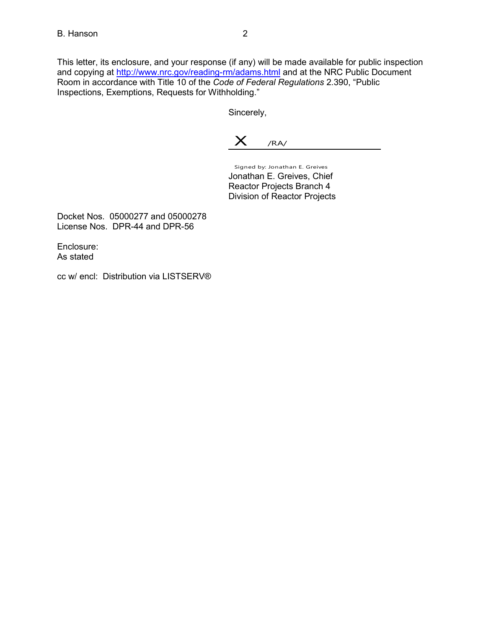This letter, its enclosure, and your response (if any) will be made available for public inspection and copying at http://www.nrc.gov/reading-rm/adams.html and at the NRC Public Document Room in accordance with Title 10 of the *Code of Federal Regulations* 2.390, "Public Inspections, Exemptions, Requests for Withholding."

Sincerely,

 $X$  /RA/

Signed by: Jonathan E. Greives Jonathan E. Greives, Chief Reactor Projects Branch 4 Division of Reactor Projects

Docket Nos. 05000277 and 05000278 License Nos. DPR-44 and DPR-56

Enclosure: As stated

cc w/ encl: Distribution via LISTSERV®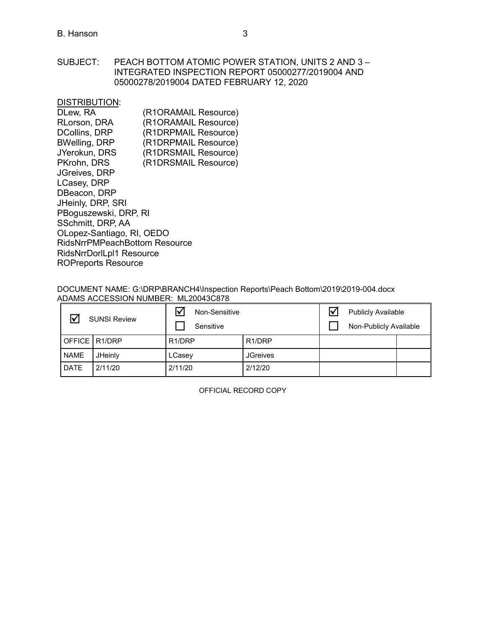SUBJECT: PEACH BOTTOM ATOMIC POWER STATION, UNITS 2 AND 3 – INTEGRATED INSPECTION REPORT 05000277/2019004 AND 05000278/2019004 DATED FEBRUARY 12, 2020

DISTRIBUTION:

| DLew, RA                             | (R1ORAMAIL Resource) |
|--------------------------------------|----------------------|
| RLorson, DRA                         | (R1ORAMAIL Resource) |
| <b>DCollins, DRP</b>                 | (R1DRPMAIL Resource) |
| <b>BWelling, DRP</b>                 | (R1DRPMAIL Resource) |
| JYerokun, DRS                        | (R1DRSMAIL Resource) |
| PKrohn, DRS                          | (R1DRSMAIL Resource) |
| <b>JGreives, DRP</b>                 |                      |
| LCasey, DRP                          |                      |
| DBeacon, DRP                         |                      |
| JHeinly, DRP, SRI                    |                      |
| PBoguszewski, DRP, RI                |                      |
| SSchmitt, DRP, AA                    |                      |
| OLopez-Santiago, RI, OEDO            |                      |
| <b>RidsNrrPMPeachBottom Resource</b> |                      |
| RidsNrrDorlLpl1 Resource             |                      |
| <b>ROPreports Resource</b>           |                      |
|                                      |                      |

### DOCUMENT NAME: G:\DRP\BRANCH4\Inspection Reports\Peach Bottom\2019\2019-004.docx ADAMS ACCESSION NUMBER: ML20043C878

|                 | <b>SUNSI Review</b> | ☑<br>Non-Sensitive<br>Sensitive |                     | <b>Publicly Available</b><br>Non-Publicly Available |  |
|-----------------|---------------------|---------------------------------|---------------------|-----------------------------------------------------|--|
| OFFICE   R1/DRP |                     | R <sub>1</sub> /DRP             | R <sub>1</sub> /DRP |                                                     |  |
| <b>NAME</b>     | JHeinly             | LCasey                          | <b>JGreives</b>     |                                                     |  |
| <b>DATE</b>     | 2/11/20             | 2/11/20                         | 2/12/20             |                                                     |  |

OFFICIAL RECORD COPY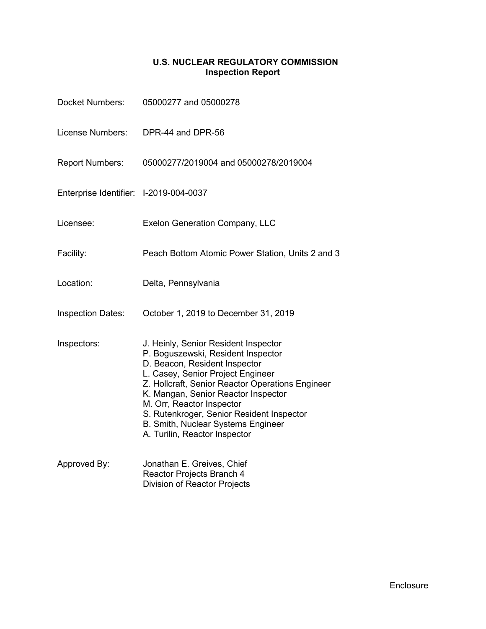# **U.S. NUCLEAR REGULATORY COMMISSION Inspection Report**

| <b>Docket Numbers:</b>                 | 05000277 and 05000278                                                                                                                                                                                                                                                                                                                                                                        |
|----------------------------------------|----------------------------------------------------------------------------------------------------------------------------------------------------------------------------------------------------------------------------------------------------------------------------------------------------------------------------------------------------------------------------------------------|
| License Numbers:                       | DPR-44 and DPR-56                                                                                                                                                                                                                                                                                                                                                                            |
| <b>Report Numbers:</b>                 | 05000277/2019004 and 05000278/2019004                                                                                                                                                                                                                                                                                                                                                        |
| Enterprise Identifier: I-2019-004-0037 |                                                                                                                                                                                                                                                                                                                                                                                              |
| Licensee:                              | <b>Exelon Generation Company, LLC</b>                                                                                                                                                                                                                                                                                                                                                        |
| Facility:                              | Peach Bottom Atomic Power Station, Units 2 and 3                                                                                                                                                                                                                                                                                                                                             |
| Location:                              | Delta, Pennsylvania                                                                                                                                                                                                                                                                                                                                                                          |
| <b>Inspection Dates:</b>               | October 1, 2019 to December 31, 2019                                                                                                                                                                                                                                                                                                                                                         |
| Inspectors:                            | J. Heinly, Senior Resident Inspector<br>P. Boguszewski, Resident Inspector<br>D. Beacon, Resident Inspector<br>L. Casey, Senior Project Engineer<br>Z. Hollcraft, Senior Reactor Operations Engineer<br>K. Mangan, Senior Reactor Inspector<br>M. Orr, Reactor Inspector<br>S. Rutenkroger, Senior Resident Inspector<br>B. Smith, Nuclear Systems Engineer<br>A. Turilin, Reactor Inspector |
| Approved By:                           | Jonathan E. Greives, Chief<br>Reactor Projects Branch 4<br><b>Division of Reactor Projects</b>                                                                                                                                                                                                                                                                                               |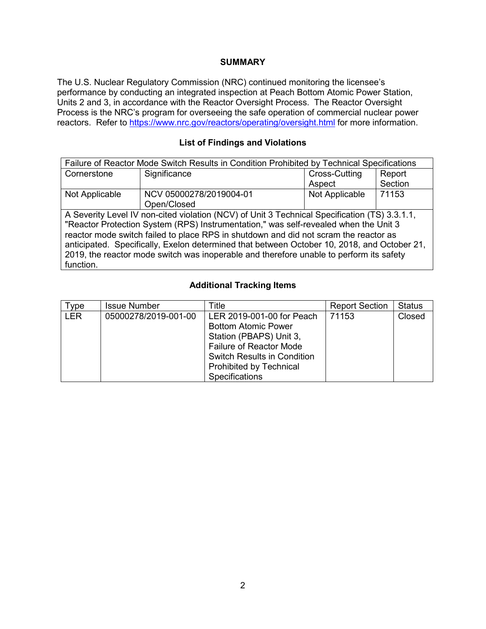### **SUMMARY**

The U.S. Nuclear Regulatory Commission (NRC) continued monitoring the licensee's performance by conducting an integrated inspection at Peach Bottom Atomic Power Station, Units 2 and 3, in accordance with the Reactor Oversight Process. The Reactor Oversight Process is the NRC's program for overseeing the safe operation of commercial nuclear power reactors. Refer to<https://www.nrc.gov/reactors/operating/oversight.html> for more information.

# **List of Findings and Violations**

| Failure of Reactor Mode Switch Results in Condition Prohibited by Technical Specifications  |                                                                                               |                |         |  |  |
|---------------------------------------------------------------------------------------------|-----------------------------------------------------------------------------------------------|----------------|---------|--|--|
| Cornerstone                                                                                 | Significance                                                                                  | Cross-Cutting  | Report  |  |  |
|                                                                                             |                                                                                               | Aspect         | Section |  |  |
| Not Applicable                                                                              | NCV 05000278/2019004-01                                                                       | Not Applicable | 71153   |  |  |
|                                                                                             | Open/Closed                                                                                   |                |         |  |  |
|                                                                                             | A Severity Level IV non-cited violation (NCV) of Unit 3 Technical Specification (TS) 3.3.1.1, |                |         |  |  |
| "Reactor Protection System (RPS) Instrumentation," was self-revealed when the Unit 3        |                                                                                               |                |         |  |  |
| reactor mode switch failed to place RPS in shutdown and did not scram the reactor as        |                                                                                               |                |         |  |  |
| anticipated. Specifically, Exelon determined that between October 10, 2018, and October 21, |                                                                                               |                |         |  |  |
| 2019, the reactor mode switch was inoperable and therefore unable to perform its safety     |                                                                                               |                |         |  |  |
| function.                                                                                   |                                                                                               |                |         |  |  |

## **Additional Tracking Items**

| $T$ ype    | <b>Issue Number</b>  | Title                                                                                                                                                                                                                 | <b>Report Section</b> | <b>Status</b> |
|------------|----------------------|-----------------------------------------------------------------------------------------------------------------------------------------------------------------------------------------------------------------------|-----------------------|---------------|
| <b>LER</b> | 05000278/2019-001-00 | LER 2019-001-00 for Peach<br><b>Bottom Atomic Power</b><br>Station (PBAPS) Unit 3,<br><b>Failure of Reactor Mode</b><br><b>Switch Results in Condition</b><br><b>Prohibited by Technical</b><br><b>Specifications</b> | 71153                 | Closed        |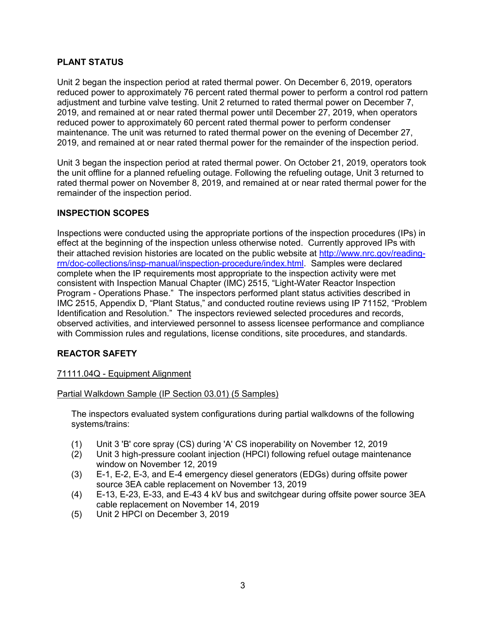## **PLANT STATUS**

Unit 2 began the inspection period at rated thermal power. On December 6, 2019, operators reduced power to approximately 76 percent rated thermal power to perform a control rod pattern adjustment and turbine valve testing. Unit 2 returned to rated thermal power on December 7, 2019, and remained at or near rated thermal power until December 27, 2019, when operators reduced power to approximately 60 percent rated thermal power to perform condenser maintenance. The unit was returned to rated thermal power on the evening of December 27, 2019, and remained at or near rated thermal power for the remainder of the inspection period.

Unit 3 began the inspection period at rated thermal power. On October 21, 2019, operators took the unit offline for a planned refueling outage. Following the refueling outage, Unit 3 returned to rated thermal power on November 8, 2019, and remained at or near rated thermal power for the remainder of the inspection period.

## **INSPECTION SCOPES**

Inspections were conducted using the appropriate portions of the inspection procedures (IPs) in effect at the beginning of the inspection unless otherwise noted. Currently approved IPs with their attached revision histories are located on the public website at [http://www.nrc.gov/reading](http://www.nrc.gov/reading-rm/doc-collections/insp-manual/inspection-procedure/index.html)[rm/doc-collections/insp-manual/inspection-procedure/index.html.](http://www.nrc.gov/reading-rm/doc-collections/insp-manual/inspection-procedure/index.html) Samples were declared complete when the IP requirements most appropriate to the inspection activity were met consistent with Inspection Manual Chapter (IMC) 2515, "Light-Water Reactor Inspection Program - Operations Phase." The inspectors performed plant status activities described in IMC 2515, Appendix D, "Plant Status," and conducted routine reviews using IP 71152, "Problem Identification and Resolution." The inspectors reviewed selected procedures and records, observed activities, and interviewed personnel to assess licensee performance and compliance with Commission rules and regulations, license conditions, site procedures, and standards.

# **REACTOR SAFETY**

## 71111.04Q - Equipment Alignment

Partial Walkdown Sample (IP Section 03.01) (5 Samples)

The inspectors evaluated system configurations during partial walkdowns of the following systems/trains:

- (1) Unit 3 'B' core spray (CS) during 'A' CS inoperability on November 12, 2019
- (2) Unit 3 high-pressure coolant injection (HPCI) following refuel outage maintenance window on November 12, 2019
- (3) E-1, E-2, E-3, and E-4 emergency diesel generators (EDGs) during offsite power source 3EA cable replacement on November 13, 2019
- (4) E-13, E-23, E-33, and E-43 4 kV bus and switchgear during offsite power source 3EA cable replacement on November 14, 2019
- (5) Unit 2 HPCI on December 3, 2019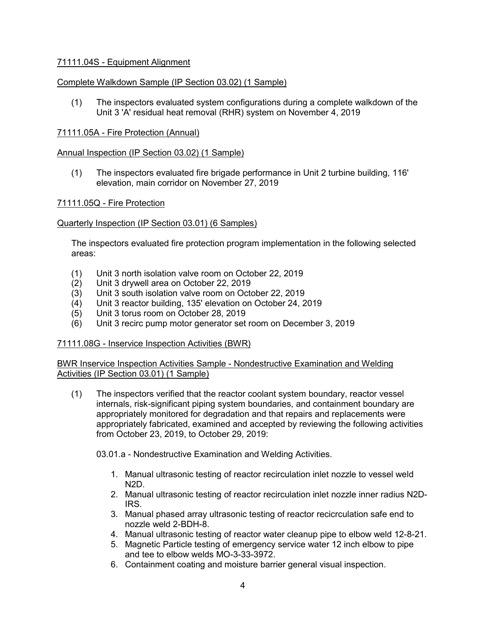## 71111.04S - Equipment Alignment

## Complete Walkdown Sample (IP Section 03.02) (1 Sample)

(1) The inspectors evaluated system configurations during a complete walkdown of the Unit 3 'A' residual heat removal (RHR) system on November 4, 2019

### 71111.05A - Fire Protection (Annual)

### Annual Inspection (IP Section 03.02) (1 Sample)

(1) The inspectors evaluated fire brigade performance in Unit 2 turbine building, 116' elevation, main corridor on November 27, 2019

### 71111.05Q - Fire Protection

### Quarterly Inspection (IP Section 03.01) (6 Samples)

The inspectors evaluated fire protection program implementation in the following selected areas:

- (1) Unit 3 north isolation valve room on October 22, 2019
- (2) Unit 3 drywell area on October 22, 2019
- (3) Unit 3 south isolation valve room on October 22, 2019
- (4) Unit 3 reactor building, 135' elevation on October 24, 2019
- (5) Unit 3 torus room on October 28, 2019
- (6) Unit 3 recirc pump motor generator set room on December 3, 2019

### 71111.08G - Inservice Inspection Activities (BWR)

BWR Inservice Inspection Activities Sample - Nondestructive Examination and Welding Activities (IP Section 03.01) (1 Sample)

(1) The inspectors verified that the reactor coolant system boundary, reactor vessel internals, risk-significant piping system boundaries, and containment boundary are appropriately monitored for degradation and that repairs and replacements were appropriately fabricated, examined and accepted by reviewing the following activities from October 23, 2019, to October 29, 2019:

03.01.a - Nondestructive Examination and Welding Activities.

- 1. Manual ultrasonic testing of reactor recirculation inlet nozzle to vessel weld N2D.
- 2. Manual ultrasonic testing of reactor recirculation inlet nozzle inner radius N2D-IRS.
- 3. Manual phased array ultrasonic testing of reactor recicrculation safe end to nozzle weld 2-BDH-8.
- 4. Manual ultrasonic testing of reactor water cleanup pipe to elbow weld 12-8-21.
- 5. Magnetic Particle testing of emergency service water 12 inch elbow to pipe and tee to elbow welds MO-3-33-3972.
- 6. Containment coating and moisture barrier general visual inspection.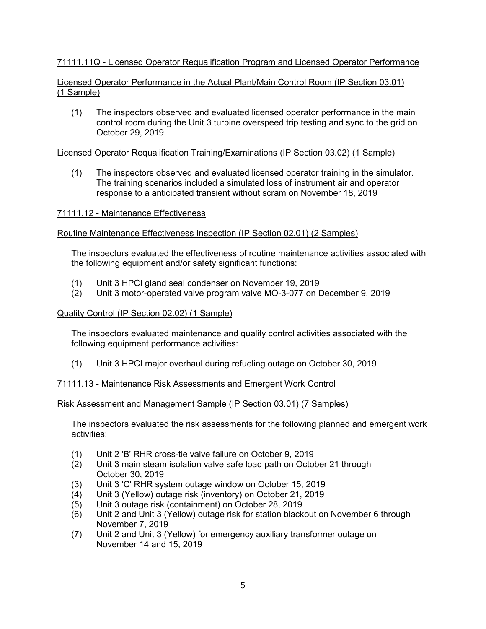# 71111.11Q - Licensed Operator Requalification Program and Licensed Operator Performance

## Licensed Operator Performance in the Actual Plant/Main Control Room (IP Section 03.01) (1 Sample)

(1) The inspectors observed and evaluated licensed operator performance in the main control room during the Unit 3 turbine overspeed trip testing and sync to the grid on October 29, 2019

## Licensed Operator Requalification Training/Examinations (IP Section 03.02) (1 Sample)

(1) The inspectors observed and evaluated licensed operator training in the simulator. The training scenarios included a simulated loss of instrument air and operator response to a anticipated transient without scram on November 18, 2019

## 71111.12 - Maintenance Effectiveness

## Routine Maintenance Effectiveness Inspection (IP Section 02.01) (2 Samples)

The inspectors evaluated the effectiveness of routine maintenance activities associated with the following equipment and/or safety significant functions:

- (1) Unit 3 HPCI gland seal condenser on November 19, 2019
- (2) Unit 3 motor-operated valve program valve MO-3-077 on December 9, 2019

### Quality Control (IP Section 02.02) (1 Sample)

The inspectors evaluated maintenance and quality control activities associated with the following equipment performance activities:

(1) Unit 3 HPCI major overhaul during refueling outage on October 30, 2019

## 71111.13 - Maintenance Risk Assessments and Emergent Work Control

### Risk Assessment and Management Sample (IP Section 03.01) (7 Samples)

The inspectors evaluated the risk assessments for the following planned and emergent work activities:

- (1) Unit 2 'B' RHR cross-tie valve failure on October 9, 2019
- Unit 3 main steam isolation valve safe load path on October 21 through October 30, 2019
- (3) Unit 3 'C' RHR system outage window on October 15, 2019
- (4) Unit 3 (Yellow) outage risk (inventory) on October 21, 2019
- (5) Unit 3 outage risk (containment) on October 28, 2019
- (6) Unit 2 and Unit 3 (Yellow) outage risk for station blackout on November 6 through November 7, 2019
- (7) Unit 2 and Unit 3 (Yellow) for emergency auxiliary transformer outage on November 14 and 15, 2019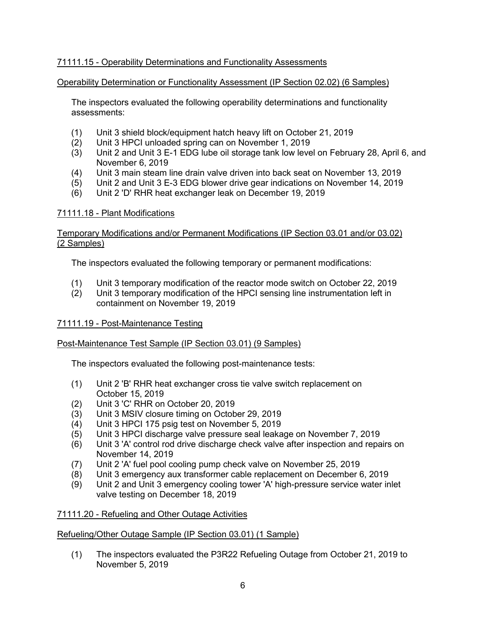# 71111.15 - Operability Determinations and Functionality Assessments

### Operability Determination or Functionality Assessment (IP Section 02.02) (6 Samples)

The inspectors evaluated the following operability determinations and functionality assessments:

- (1) Unit 3 shield block/equipment hatch heavy lift on October 21, 2019
- (2) Unit 3 HPCI unloaded spring can on November 1, 2019
- (3) Unit 2 and Unit 3 E-1 EDG lube oil storage tank low level on February 28, April 6, and November 6, 2019
- (4) Unit 3 main steam line drain valve driven into back seat on November 13, 2019
- (5) Unit 2 and Unit 3 E-3 EDG blower drive gear indications on November 14, 2019
- (6) Unit 2 'D' RHR heat exchanger leak on December 19, 2019

### 71111.18 - Plant Modifications

### Temporary Modifications and/or Permanent Modifications (IP Section 03.01 and/or 03.02) (2 Samples)

The inspectors evaluated the following temporary or permanent modifications:

- (1) Unit 3 temporary modification of the reactor mode switch on October 22, 2019
- (2) Unit 3 temporary modification of the HPCI sensing line instrumentation left in containment on November 19, 2019

### 71111.19 - Post-Maintenance Testing

### Post-Maintenance Test Sample (IP Section 03.01) (9 Samples)

The inspectors evaluated the following post-maintenance tests:

- (1) Unit 2 'B' RHR heat exchanger cross tie valve switch replacement on October 15, 2019
- (2) Unit 3 'C' RHR on October 20, 2019
- (3) Unit 3 MSIV closure timing on October 29, 2019
- (4) Unit 3 HPCI 175 psig test on November 5, 2019
- (5) Unit 3 HPCI discharge valve pressure seal leakage on November 7, 2019
- (6) Unit 3 'A' control rod drive discharge check valve after inspection and repairs on November 14, 2019
- (7) Unit 2 'A' fuel pool cooling pump check valve on November 25, 2019
- (8) Unit 3 emergency aux transformer cable replacement on December 6, 2019
- (9) Unit 2 and Unit 3 emergency cooling tower 'A' high-pressure service water inlet valve testing on December 18, 2019

### 71111.20 - Refueling and Other Outage Activities

### Refueling/Other Outage Sample (IP Section 03.01) (1 Sample)

(1) The inspectors evaluated the P3R22 Refueling Outage from October 21, 2019 to November 5, 2019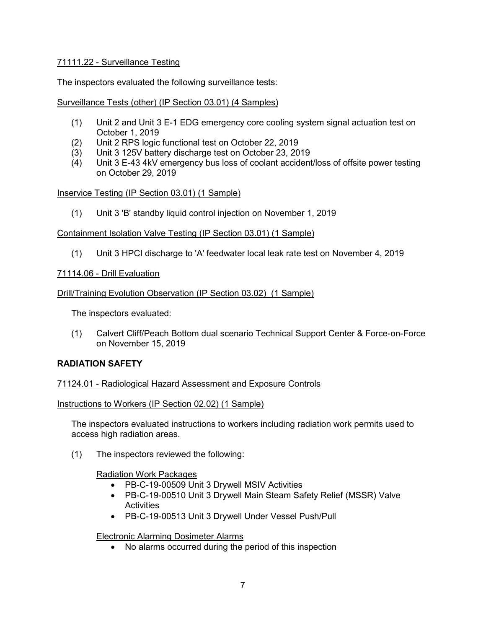## 71111.22 - Surveillance Testing

The inspectors evaluated the following surveillance tests:

## Surveillance Tests (other) (IP Section 03.01) (4 Samples)

- (1) Unit 2 and Unit 3 E-1 EDG emergency core cooling system signal actuation test on October 1, 2019
- (2) Unit 2 RPS logic functional test on October 22, 2019
- (3) Unit 3 125V battery discharge test on October 23, 2019
- Unit 3 E-43 4kV emergency bus loss of coolant accident/loss of offsite power testing on October 29, 2019

## Inservice Testing (IP Section 03.01) (1 Sample)

(1) Unit 3 'B' standby liquid control injection on November 1, 2019

## Containment Isolation Valve Testing (IP Section 03.01) (1 Sample)

(1) Unit 3 HPCI discharge to 'A' feedwater local leak rate test on November 4, 2019

## 71114.06 - Drill Evaluation

## Drill/Training Evolution Observation (IP Section 03.02) (1 Sample)

The inspectors evaluated:

(1) Calvert Cliff/Peach Bottom dual scenario Technical Support Center & Force-on-Force on November 15, 2019

## **RADIATION SAFETY**

## 71124.01 - Radiological Hazard Assessment and Exposure Controls

## Instructions to Workers (IP Section 02.02) (1 Sample)

The inspectors evaluated instructions to workers including radiation work permits used to access high radiation areas.

(1) The inspectors reviewed the following:

## Radiation Work Packages

- PB-C-19-00509 Unit 3 Drywell MSIV Activities
- PB-C-19-00510 Unit 3 Drywell Main Steam Safety Relief (MSSR) Valve **Activities**
- PB-C-19-00513 Unit 3 Drywell Under Vessel Push/Pull

## Electronic Alarming Dosimeter Alarms

• No alarms occurred during the period of this inspection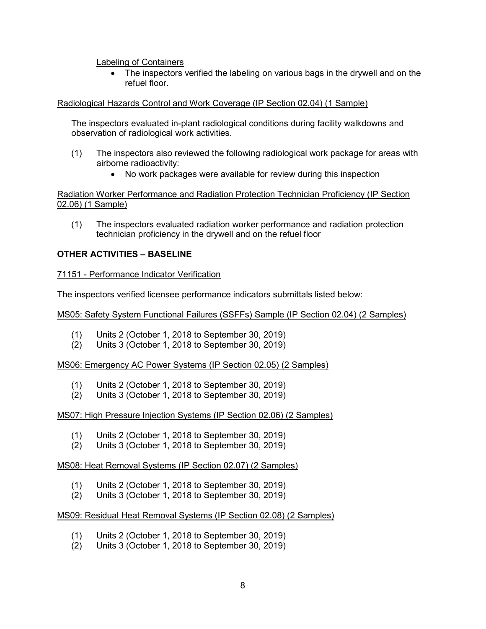### Labeling of Containers

The inspectors verified the labeling on various bags in the drywell and on the refuel floor.

### Radiological Hazards Control and Work Coverage (IP Section 02.04) (1 Sample)

The inspectors evaluated in-plant radiological conditions during facility walkdowns and observation of radiological work activities.

- (1) The inspectors also reviewed the following radiological work package for areas with airborne radioactivity:
	- No work packages were available for review during this inspection

Radiation Worker Performance and Radiation Protection Technician Proficiency (IP Section 02.06) (1 Sample)

(1) The inspectors evaluated radiation worker performance and radiation protection technician proficiency in the drywell and on the refuel floor

## **OTHER ACTIVITIES – BASELINE**

### 71151 - Performance Indicator Verification

The inspectors verified licensee performance indicators submittals listed below:

MS05: Safety System Functional Failures (SSFFs) Sample (IP Section 02.04) (2 Samples)

- (1) Units 2 (October 1, 2018 to September 30, 2019)
- (2) Units 3 (October 1, 2018 to September 30, 2019)

MS06: Emergency AC Power Systems (IP Section 02.05) (2 Samples)

- (1) Units 2 (October 1, 2018 to September 30, 2019)
- (2) Units 3 (October 1, 2018 to September 30, 2019)

### MS07: High Pressure Injection Systems (IP Section 02.06) (2 Samples)

- (1) Units 2 (October 1, 2018 to September 30, 2019)
- (2) Units 3 (October 1, 2018 to September 30, 2019)

## MS08: Heat Removal Systems (IP Section 02.07) (2 Samples)

- (1) Units 2 (October 1, 2018 to September 30, 2019)
- (2) Units 3 (October 1, 2018 to September 30, 2019)

### MS09: Residual Heat Removal Systems (IP Section 02.08) (2 Samples)

- (1) Units 2 (October 1, 2018 to September 30, 2019)
- (2) Units 3 (October 1, 2018 to September 30, 2019)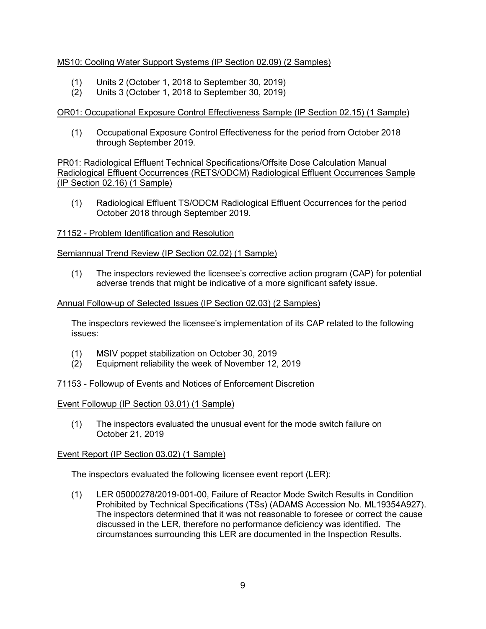## MS10: Cooling Water Support Systems (IP Section 02.09) (2 Samples)

- (1) Units 2 (October 1, 2018 to September 30, 2019)
- (2) Units 3 (October 1, 2018 to September 30, 2019)

# OR01: Occupational Exposure Control Effectiveness Sample (IP Section 02.15) (1 Sample)

(1) Occupational Exposure Control Effectiveness for the period from October 2018 through September 2019.

PR01: Radiological Effluent Technical Specifications/Offsite Dose Calculation Manual Radiological Effluent Occurrences (RETS/ODCM) Radiological Effluent Occurrences Sample (IP Section 02.16) (1 Sample)

(1) Radiological Effluent TS/ODCM Radiological Effluent Occurrences for the period October 2018 through September 2019.

## 71152 - Problem Identification and Resolution

## Semiannual Trend Review (IP Section 02.02) (1 Sample)

(1) The inspectors reviewed the licensee's corrective action program (CAP) for potential adverse trends that might be indicative of a more significant safety issue.

## Annual Follow-up of Selected Issues (IP Section 02.03) (2 Samples)

The inspectors reviewed the licensee's implementation of its CAP related to the following issues:

- (1) MSIV poppet stabilization on October 30, 2019
- (2) Equipment reliability the week of November 12, 2019

## 71153 - Followup of Events and Notices of Enforcement Discretion

## Event Followup (IP Section 03.01) (1 Sample)

(1) The inspectors evaluated the unusual event for the mode switch failure on October 21, 2019

## Event Report (IP Section 03.02) (1 Sample)

The inspectors evaluated the following licensee event report (LER):

(1) LER 05000278/2019-001-00, Failure of Reactor Mode Switch Results in Condition Prohibited by Technical Specifications (TSs) (ADAMS Accession No. ML19354A927). The inspectors determined that it was not reasonable to foresee or correct the cause discussed in the LER, therefore no performance deficiency was identified. The circumstances surrounding this LER are documented in the Inspection Results.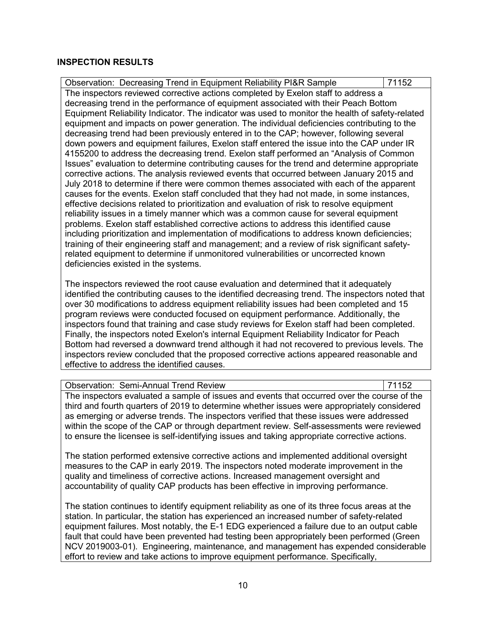### **INSPECTION RESULTS**

Observation: Decreasing Trend in Equipment Reliability PI&R Sample | 71152 The inspectors reviewed corrective actions completed by Exelon staff to address a decreasing trend in the performance of equipment associated with their Peach Bottom Equipment Reliability Indicator. The indicator was used to monitor the health of safety-related equipment and impacts on power generation. The individual deficiencies contributing to the decreasing trend had been previously entered in to the CAP; however, following several down powers and equipment failures, Exelon staff entered the issue into the CAP under IR 4155200 to address the decreasing trend. Exelon staff performed an "Analysis of Common Issues" evaluation to determine contributing causes for the trend and determine appropriate corrective actions. The analysis reviewed events that occurred between January 2015 and July 2018 to determine if there were common themes associated with each of the apparent causes for the events. Exelon staff concluded that they had not made, in some instances, effective decisions related to prioritization and evaluation of risk to resolve equipment reliability issues in a timely manner which was a common cause for several equipment problems. Exelon staff established corrective actions to address this identified cause including prioritization and implementation of modifications to address known deficiencies; training of their engineering staff and management; and a review of risk significant safetyrelated equipment to determine if unmonitored vulnerabilities or uncorrected known deficiencies existed in the systems.

The inspectors reviewed the root cause evaluation and determined that it adequately identified the contributing causes to the identified decreasing trend. The inspectors noted that over 30 modifications to address equipment reliability issues had been completed and 15 program reviews were conducted focused on equipment performance. Additionally, the inspectors found that training and case study reviews for Exelon staff had been completed. Finally, the inspectors noted Exelon's internal Equipment Reliability Indicator for Peach Bottom had reversed a downward trend although it had not recovered to previous levels. The inspectors review concluded that the proposed corrective actions appeared reasonable and effective to address the identified causes.

### Observation: Semi-Annual Trend Review 71152 The inspectors evaluated a sample of issues and events that occurred over the course of the third and fourth quarters of 2019 to determine whether issues were appropriately considered as emerging or adverse trends. The inspectors verified that these issues were addressed within the scope of the CAP or through department review. Self-assessments were reviewed to ensure the licensee is self-identifying issues and taking appropriate corrective actions.

The station performed extensive corrective actions and implemented additional oversight measures to the CAP in early 2019. The inspectors noted moderate improvement in the quality and timeliness of corrective actions. Increased management oversight and accountability of quality CAP products has been effective in improving performance.

The station continues to identify equipment reliability as one of its three focus areas at the station. In particular, the station has experienced an increased number of safety-related equipment failures. Most notably, the E-1 EDG experienced a failure due to an output cable fault that could have been prevented had testing been appropriately been performed (Green NCV 2019003-01). Engineering, maintenance, and management has expended considerable effort to review and take actions to improve equipment performance. Specifically,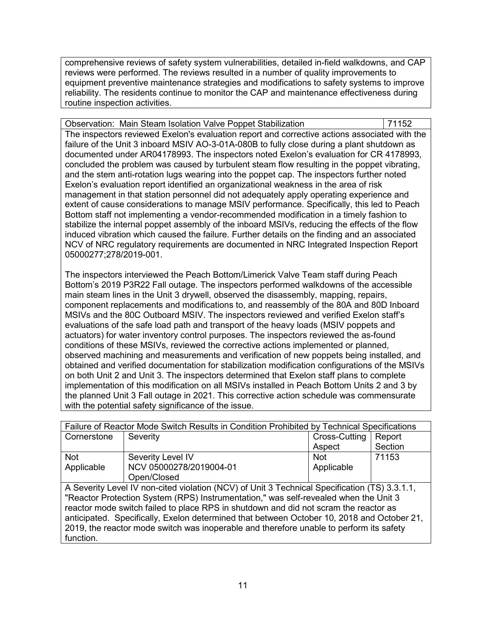comprehensive reviews of safety system vulnerabilities, detailed in-field walkdowns, and CAP reviews were performed. The reviews resulted in a number of quality improvements to equipment preventive maintenance strategies and modifications to safety systems to improve reliability. The residents continue to monitor the CAP and maintenance effectiveness during routine inspection activities.

| Observation: Main Steam Isolation Valve Poppet Stabilization                                  | 71152 |
|-----------------------------------------------------------------------------------------------|-------|
| The inspectors reviewed Exelon's evaluation report and corrective actions associated with the |       |
| failure of the Unit 3 inboard MSIV AO-3-01A-080B to fully close during a plant shutdown as    |       |
| documented under AR04178993. The inspectors noted Exelon's evaluation for CR 4178993,         |       |
| concluded the problem was caused by turbulent steam flow resulting in the poppet vibrating,   |       |
| and the stem anti-rotation lugs wearing into the poppet cap. The inspectors further noted     |       |
| Exelon's evaluation report identified an organizational weakness in the area of risk          |       |
| management in that station personnel did not adequately apply operating experience and        |       |
| extent of cause considerations to manage MSIV performance. Specifically, this led to Peach    |       |
| Bottom staff not implementing a vendor-recommended modification in a timely fashion to        |       |
| stabilize the internal poppet assembly of the inboard MSIVs, reducing the effects of the flow |       |
| induced vibration which caused the failure. Further details on the finding and an associated  |       |
| NCV of NRC regulatory requirements are documented in NRC Integrated Inspection Report         |       |
| 05000277;278/2019-001.                                                                        |       |

The inspectors interviewed the Peach Bottom/Limerick Valve Team staff during Peach Bottom's 2019 P3R22 Fall outage. The inspectors performed walkdowns of the accessible main steam lines in the Unit 3 drywell, observed the disassembly, mapping, repairs, component replacements and modifications to, and reassembly of the 80A and 80D Inboard MSIVs and the 80C Outboard MSIV. The inspectors reviewed and verified Exelon staff's evaluations of the safe load path and transport of the heavy loads (MSIV poppets and actuators) for water inventory control purposes. The inspectors reviewed the as-found conditions of these MSIVs, reviewed the corrective actions implemented or planned, observed machining and measurements and verification of new poppets being installed, and obtained and verified documentation for stabilization modification configurations of the MSIVs on both Unit 2 and Unit 3. The inspectors determined that Exelon staff plans to complete implementation of this modification on all MSIVs installed in Peach Bottom Units 2 and 3 by the planned Unit 3 Fall outage in 2021. This corrective action schedule was commensurate with the potential safety significance of the issue.

| Failure of Reactor Mode Switch Results in Condition Prohibited by Technical Specifications    |                         |               |         |  |  |
|-----------------------------------------------------------------------------------------------|-------------------------|---------------|---------|--|--|
| Cornerstone                                                                                   | Severity                | Cross-Cutting | Report  |  |  |
|                                                                                               |                         | Aspect        | Section |  |  |
| <b>Not</b>                                                                                    | Severity Level IV       | <b>Not</b>    | 71153   |  |  |
| Applicable                                                                                    | NCV 05000278/2019004-01 | Applicable    |         |  |  |
|                                                                                               | Open/Closed             |               |         |  |  |
| A Severity Level IV non-cited violation (NCV) of Unit 3 Technical Specification (TS) 3.3.1.1, |                         |               |         |  |  |
| "Reactor Protection System (RPS) Instrumentation," was self-revealed when the Unit 3          |                         |               |         |  |  |
| reactor mode switch failed to place RPS in shutdown and did not scram the reactor as          |                         |               |         |  |  |
| anticipated. Specifically, Exelon determined that between October 10, 2018 and October 21,    |                         |               |         |  |  |
| 2019, the reactor mode switch was inoperable and therefore unable to perform its safety       |                         |               |         |  |  |
| function.                                                                                     |                         |               |         |  |  |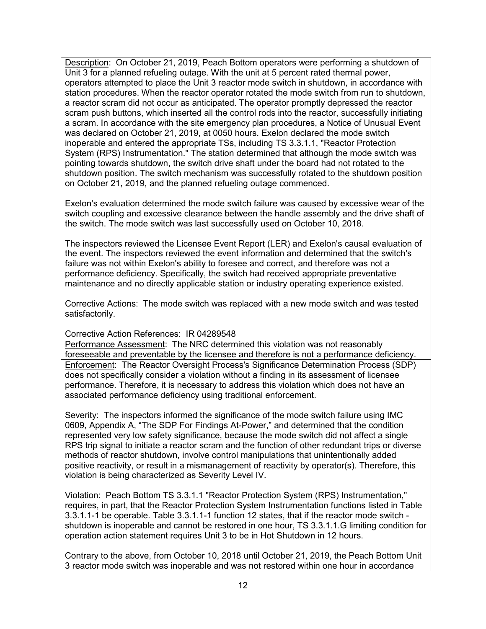Description: On October 21, 2019, Peach Bottom operators were performing a shutdown of Unit 3 for a planned refueling outage. With the unit at 5 percent rated thermal power, operators attempted to place the Unit 3 reactor mode switch in shutdown, in accordance with station procedures. When the reactor operator rotated the mode switch from run to shutdown, a reactor scram did not occur as anticipated. The operator promptly depressed the reactor scram push buttons, which inserted all the control rods into the reactor, successfully initiating a scram. In accordance with the site emergency plan procedures, a Notice of Unusual Event was declared on October 21, 2019, at 0050 hours. Exelon declared the mode switch inoperable and entered the appropriate TSs, including TS 3.3.1.1, "Reactor Protection System (RPS) Instrumentation." The station determined that although the mode switch was pointing towards shutdown, the switch drive shaft under the board had not rotated to the shutdown position. The switch mechanism was successfully rotated to the shutdown position on October 21, 2019, and the planned refueling outage commenced.

Exelon's evaluation determined the mode switch failure was caused by excessive wear of the switch coupling and excessive clearance between the handle assembly and the drive shaft of the switch. The mode switch was last successfully used on October 10, 2018.

The inspectors reviewed the Licensee Event Report (LER) and Exelon's causal evaluation of the event. The inspectors reviewed the event information and determined that the switch's failure was not within Exelon's ability to foresee and correct, and therefore was not a performance deficiency. Specifically, the switch had received appropriate preventative maintenance and no directly applicable station or industry operating experience existed.

Corrective Actions: The mode switch was replaced with a new mode switch and was tested satisfactorily.

## Corrective Action References: IR 04289548

Performance Assessment: The NRC determined this violation was not reasonably foreseeable and preventable by the licensee and therefore is not a performance deficiency. Enforcement: The Reactor Oversight Process's Significance Determination Process (SDP) does not specifically consider a violation without a finding in its assessment of licensee performance. Therefore, it is necessary to address this violation which does not have an associated performance deficiency using traditional enforcement.

Severity: The inspectors informed the significance of the mode switch failure using IMC 0609, Appendix A, "The SDP For Findings At-Power," and determined that the condition represented very low safety significance, because the mode switch did not affect a single RPS trip signal to initiate a reactor scram and the function of other redundant trips or diverse methods of reactor shutdown, involve control manipulations that unintentionally added positive reactivity, or result in a mismanagement of reactivity by operator(s). Therefore, this violation is being characterized as Severity Level IV.

Violation: Peach Bottom TS 3.3.1.1 "Reactor Protection System (RPS) Instrumentation," requires, in part, that the Reactor Protection System Instrumentation functions listed in Table 3.3.1.1-1 be operable. Table 3.3.1.1-1 function 12 states, that if the reactor mode switch shutdown is inoperable and cannot be restored in one hour, TS 3.3.1.1.G limiting condition for operation action statement requires Unit 3 to be in Hot Shutdown in 12 hours.

Contrary to the above, from October 10, 2018 until October 21, 2019, the Peach Bottom Unit 3 reactor mode switch was inoperable and was not restored within one hour in accordance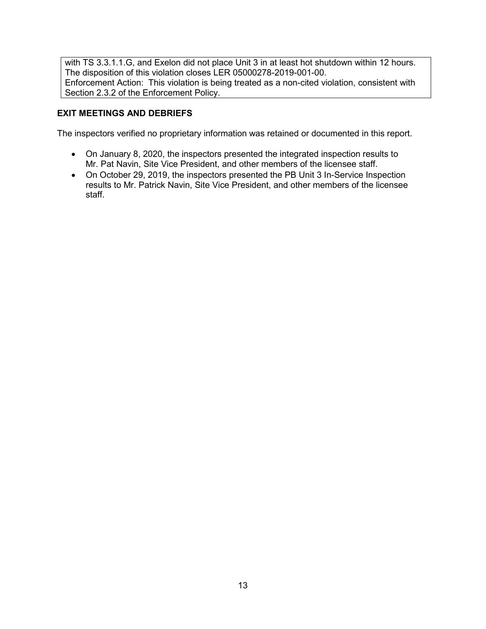with TS 3.3.1.1.G, and Exelon did not place Unit 3 in at least hot shutdown within 12 hours. The disposition of this violation closes LER 05000278-2019-001-00. Enforcement Action: This violation is being treated as a non-cited violation, consistent with Section 2.3.2 of the Enforcement Policy.

# **EXIT MEETINGS AND DEBRIEFS**

The inspectors verified no proprietary information was retained or documented in this report.

- On January 8, 2020, the inspectors presented the integrated inspection results to Mr. Pat Navin, Site Vice President, and other members of the licensee staff.
- On October 29, 2019, the inspectors presented the PB Unit 3 In-Service Inspection results to Mr. Patrick Navin, Site Vice President, and other members of the licensee staff.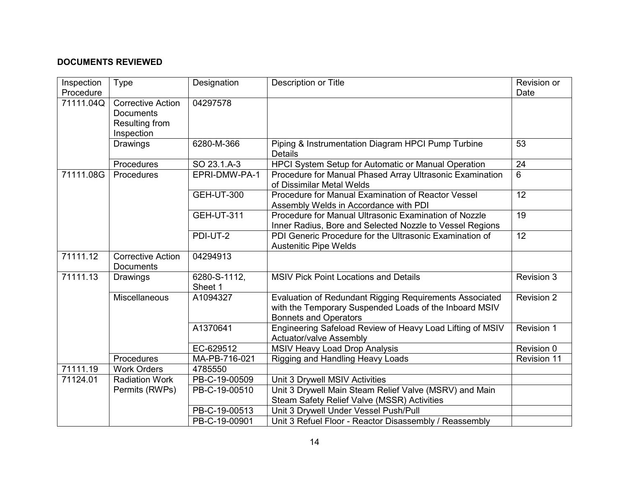# **DOCUMENTS REVIEWED**

| Inspection | Type                     | Designation       | <b>Description or Title</b>                               | Revision or        |
|------------|--------------------------|-------------------|-----------------------------------------------------------|--------------------|
| Procedure  |                          |                   |                                                           | Date               |
| 71111.04Q  | <b>Corrective Action</b> | 04297578          |                                                           |                    |
|            | <b>Documents</b>         |                   |                                                           |                    |
|            | Resulting from           |                   |                                                           |                    |
|            | Inspection               |                   |                                                           |                    |
|            | Drawings                 | 6280-M-366        | Piping & Instrumentation Diagram HPCI Pump Turbine        | 53                 |
|            |                          |                   | <b>Details</b>                                            |                    |
|            | Procedures               | SO 23.1.A-3       | HPCI System Setup for Automatic or Manual Operation       | 24                 |
| 71111.08G  | Procedures               | EPRI-DMW-PA-1     | Procedure for Manual Phased Array Ultrasonic Examination  | 6                  |
|            |                          |                   | of Dissimilar Metal Welds                                 |                    |
|            |                          | <b>GEH-UT-300</b> | Procedure for Manual Examination of Reactor Vessel        | 12                 |
|            |                          |                   | Assembly Welds in Accordance with PDI                     |                    |
|            |                          | <b>GEH-UT-311</b> | Procedure for Manual Ultrasonic Examination of Nozzle     | 19                 |
|            |                          |                   | Inner Radius, Bore and Selected Nozzle to Vessel Regions  |                    |
|            |                          | PDI-UT-2          | PDI Generic Procedure for the Ultrasonic Examination of   | 12                 |
|            |                          |                   | <b>Austenitic Pipe Welds</b>                              |                    |
| 71111.12   | <b>Corrective Action</b> | 04294913          |                                                           |                    |
|            | <b>Documents</b>         |                   |                                                           |                    |
| 71111.13   | Drawings                 | 6280-S-1112,      | <b>MSIV Pick Point Locations and Details</b>              | Revision 3         |
|            |                          | Sheet 1           |                                                           |                    |
|            | Miscellaneous            | A1094327          | Evaluation of Redundant Rigging Requirements Associated   | Revision 2         |
|            |                          |                   | with the Temporary Suspended Loads of the Inboard MSIV    |                    |
|            |                          |                   | <b>Bonnets and Operators</b>                              |                    |
|            |                          | A1370641          | Engineering Safeload Review of Heavy Load Lifting of MSIV | <b>Revision 1</b>  |
|            |                          |                   | <b>Actuator/valve Assembly</b>                            |                    |
|            |                          | EC-629512         | MSIV Heavy Load Drop Analysis                             | Revision 0         |
|            | Procedures               | MA-PB-716-021     | Rigging and Handling Heavy Loads                          | <b>Revision 11</b> |
| 71111.19   | <b>Work Orders</b>       | 4785550           |                                                           |                    |
| 71124.01   | <b>Radiation Work</b>    | PB-C-19-00509     | Unit 3 Drywell MSIV Activities                            |                    |
|            | Permits (RWPs)           | PB-C-19-00510     | Unit 3 Drywell Main Steam Relief Valve (MSRV) and Main    |                    |
|            |                          |                   | Steam Safety Relief Valve (MSSR) Activities               |                    |
|            |                          | PB-C-19-00513     | Unit 3 Drywell Under Vessel Push/Pull                     |                    |
|            |                          | PB-C-19-00901     | Unit 3 Refuel Floor - Reactor Disassembly / Reassembly    |                    |